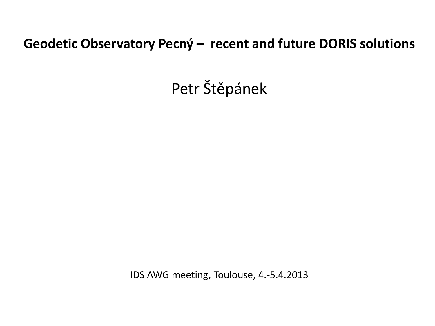## **Geodetic Observatory Pecný – recent and future DORIS solutions**

Petr Štěpánek

IDS AWG meeting, Toulouse, 4.-5.4.2013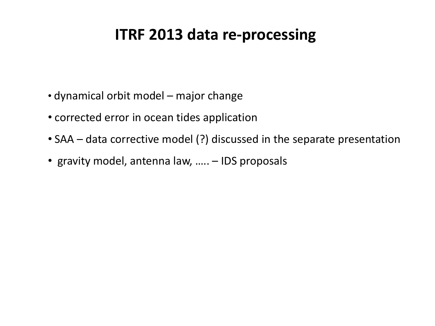# **ITRF 2013 data re-processing**

- dynamical orbit model major change
- corrected error in ocean tides application
- SAA data corrective model (?) discussed in the separate presentation
- gravity model, antenna law, ….. IDS proposals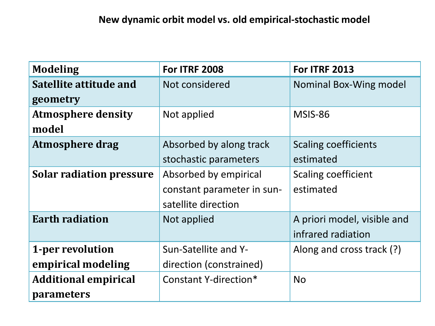| <b>Modeling</b>                 | <b>For ITRF 2008</b>       | <b>For ITRF 2013</b>        |  |  |
|---------------------------------|----------------------------|-----------------------------|--|--|
| Satellite attitude and          | Not considered             | Nominal Box-Wing model      |  |  |
| geometry                        |                            |                             |  |  |
| <b>Atmosphere density</b>       | Not applied                | MSIS-86                     |  |  |
| model                           |                            |                             |  |  |
| <b>Atmosphere drag</b>          | Absorbed by along track    | <b>Scaling coefficients</b> |  |  |
|                                 | stochastic parameters      | estimated                   |  |  |
| <b>Solar radiation pressure</b> | Absorbed by empirical      | Scaling coefficient         |  |  |
|                                 | constant parameter in sun- | estimated                   |  |  |
|                                 | satellite direction        |                             |  |  |
| <b>Earth radiation</b>          | Not applied                | A priori model, visible and |  |  |
|                                 |                            | infrared radiation          |  |  |
| 1-per revolution                | Sun-Satellite and Y-       | Along and cross track (?)   |  |  |
| empirical modeling              | direction (constrained)    |                             |  |  |
| <b>Additional empirical</b>     | Constant Y-direction*      | <b>No</b>                   |  |  |
| <i>parameters</i>               |                            |                             |  |  |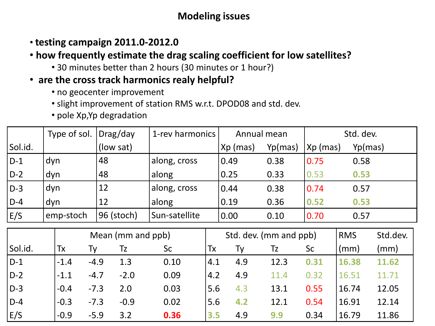### **Modeling issues**

- **testing campaign 2011.0-2012.0**
- **how frequently estimate the drag scaling coefficient for low satellites?**
	- 30 minutes better than 2 hours (30 minutes or 1 hour?)
- • **are the cross track harmonics realy helpful?**
	- no geocenter improvement
	- slight improvement of station RMS w.r.t. DPOD08 and std. dev.
	- pole Xp,Yp degradation

|         | Type of sol. $ $ | Drag/day   | 1-rev harmonics | Annual mean |         | Std. dev.  |         |
|---------|------------------|------------|-----------------|-------------|---------|------------|---------|
| Sol.id. |                  | (low sat)  |                 | $Xp$ (mas)  | Yp(mas) | $Xp$ (mas) | Yp(mas) |
| $D-1$   | dyn              | 48         | along, cross    | 0.49        | 0.38    | 0.75       | 0.58    |
| $D-2$   | dyn              | 48         | along           | 0.25        | 0.33    | 0.53       | 0.53    |
| $D-3$   | dyn              | 12         | along, cross    | 0.44        | 0.38    | 0.74       | 0.57    |
| $D-4$   | dyn              | 12         | along           | 0.19        | 0.36    | 0.52       | 0.53    |
| E/S     | emp-stoch        | 96 (stoch) | Sun-satellite   | 0.00        | 0.10    | 0.70       | 0.57    |

|         | Mean (mm and ppb) |        |        | Std. dev. (mm and ppb) |               |     |      | <b>RMS</b> | Std.dev. |       |
|---------|-------------------|--------|--------|------------------------|---------------|-----|------|------------|----------|-------|
| Sol.id. | Tx                | Tv     | Tz     | <b>Sc</b>              | Tx            | Ty  | Tz   | Sc         | (mm)     | (mm)  |
| $D-1$   | $-1.4$            | $-4.9$ | 1.3    | 0.10                   | 4.1           | 4.9 | 12.3 | 0.31       | 16.38    | 11.62 |
| $D-2$   | $-1.1$            | $-4.7$ | $-2.0$ | 0.09                   | $ 4.2\rangle$ | 4.9 | 11.4 | 0.32       | 16.51    | 11.71 |
| $D-3$   | $-0.4$            | $-7.3$ | 2.0    | 0.03                   | 5.6           | 4.3 | 13.1 | 0.55       | 16.74    | 12.05 |
| $D-4$   | $-0.3$            | $-7.3$ | $-0.9$ | 0.02                   | 5.6           | 4.2 | 12.1 | 0.54       | 16.91    | 12.14 |
| E/S     | $-0.9$            | $-5.9$ | 3.2    | 0.36                   | 3.5           | 4.9 | 9.9  | 0.34       | 16.79    | 11.86 |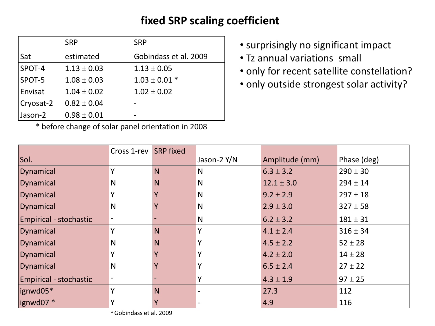### **fixed SRP scaling coefficient**

|           | <b>SRP</b>      | <b>SRP</b>            |
|-----------|-----------------|-----------------------|
| Sat       | estimated       | Gobindass et al. 2009 |
| SPOT-4    | $1.13 \pm 0.03$ | $1.13 \pm 0.05$       |
| SPOT-5    | $1.08 \pm 0.03$ | $1.03 \pm 0.01$ *     |
| Envisat   | $1.04 \pm 0.02$ | $1.02 \pm 0.02$       |
| Cryosat-2 | $0.82 \pm 0.04$ |                       |
| Jason-2   | $0.98 \pm 0.01$ |                       |

\* before change of solar panel orientation in 2008

- surprisingly no significant impact
- Tz annual variations small
- only for recent satellite constellation?
- only outside strongest solar activity?

|                        | Cross 1-rev SRP fixed |   |              |                |              |
|------------------------|-----------------------|---|--------------|----------------|--------------|
| Sol.                   |                       |   | Jason-2 Y/N  | Amplitude (mm) | Phase (deg)  |
| Dynamical              | Υ                     | N | N            | $6.3 \pm 3.2$  | $290 \pm 30$ |
| <b>Dynamical</b>       | N                     | N | N            | $12.1 \pm 3.0$ | $294 \pm 14$ |
| <b>Dynamical</b>       | Y                     |   | N            | $9.2 \pm 2.9$  | $297 \pm 18$ |
| <b>Dynamical</b>       | N                     |   | N            | $2.9 \pm 3.0$  | $327 \pm 58$ |
| Empirical - stochastic |                       |   | N            | $6.2 \pm 3.2$  | $181 \pm 31$ |
| Dynamical              | v                     | N | $\checkmark$ | $4.1 \pm 2.4$  | $316 \pm 34$ |
| <b>Dynamical</b>       | N                     | N | Υ            | $4.5 \pm 2.2$  | $52 \pm 28$  |
| <b>Dynamical</b>       | Y                     |   |              | $4.2 \pm 2.0$  | $14 \pm 28$  |
| <b>Dynamical</b>       | $\mathsf{N}$          |   | v            | $6.5 \pm 2.4$  | $27 \pm 22$  |
| Empirical - stochastic |                       |   | Υ            | $4.3 \pm 1.9$  | $97 \pm 25$  |
| ignwd05*               | v                     | N |              | 27.3           | 112          |
| lignwd07 *             | Y                     | Y |              | 4.9            | 116          |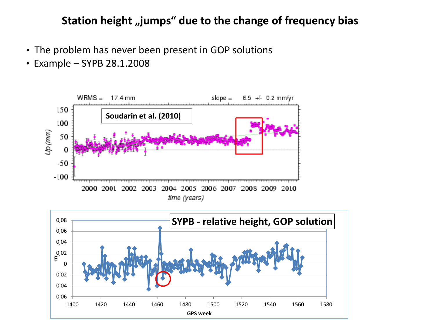### **Station height "jumps" due to the change of frequency bias**

- The problem has never been present in GOP solutions
- •Example SYPB 28.1.2008



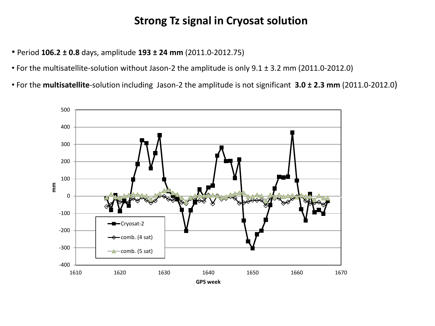### **Strong Tz signal in Cryosat solution**

- Period **106.2 ± 0.8** days, amplitude **193 ± 24 mm** (2011.0-2012.75)
- For the multisatellite-solution without Jason-2 the amplitude is only 9.1 ± 3.2 mm (2011.0-2012.0)
- For the **multisatellite**-solution including Jason-2 the amplitude is not significant **3.0 ± 2.3 mm** (2011.0-2012.0)

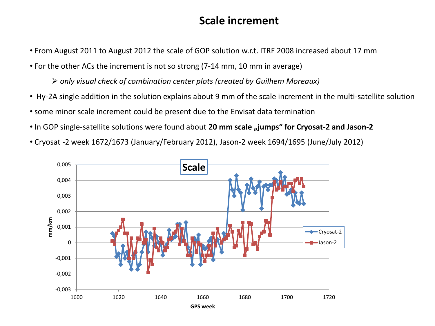#### **Scale increment**

- From August 2011 to August 2012 the scale of GOP solution w.r.t. ITRF 2008 increased about 17 mm
- For the other ACs the increment is not so strong (7-14 mm, 10 mm in average)

*only visual check of combination center plots (created by Guilhem Moreaux)*

- Hy-2A single addition in the solution explains about 9 mm of the scale increment in the multi-satellite solution
- some minor scale increment could be present due to the Envisat data termination
- In GOP single-satellite solutions were found about 20 mm scale "jumps" for Cryosat-2 and Jason-2

• Cryosat -2 week 1672/1673 (January/February 2012), Jason-2 week 1694/1695 (June/July 2012)